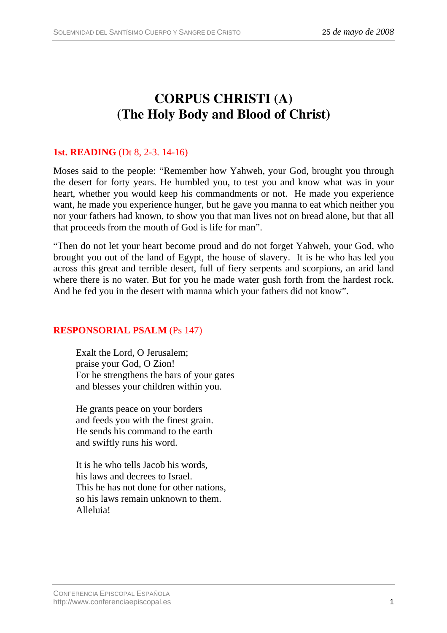# **CORPUS CHRISTI (A) (The Holy Body and Blood of Christ)**

## **1st. READING** (Dt 8, 2-3. 14-16)

Moses said to the people: "Remember how Yahweh, your God, brought you through the desert for forty years. He humbled you, to test you and know what was in your heart, whether you would keep his commandments or not. He made you experience want, he made you experience hunger, but he gave you manna to eat which neither you nor your fathers had known, to show you that man lives not on bread alone, but that all that proceeds from the mouth of God is life for man".

"Then do not let your heart become proud and do not forget Yahweh, your God, who brought you out of the land of Egypt, the house of slavery. It is he who has led you across this great and terrible desert, full of fiery serpents and scorpions, an arid land where there is no water. But for you he made water gush forth from the hardest rock. And he fed you in the desert with manna which your fathers did not know".

#### **RESPONSORIAL PSALM** (Ps 147)

Exalt the Lord, O Jerusalem; praise your God, O Zion! For he strengthens the bars of your gates and blesses your children within you.

He grants peace on your borders and feeds you with the finest grain. He sends his command to the earth and swiftly runs his word.

It is he who tells Jacob his words, his laws and decrees to Israel. This he has not done for other nations, so his laws remain unknown to them. Alleluia!